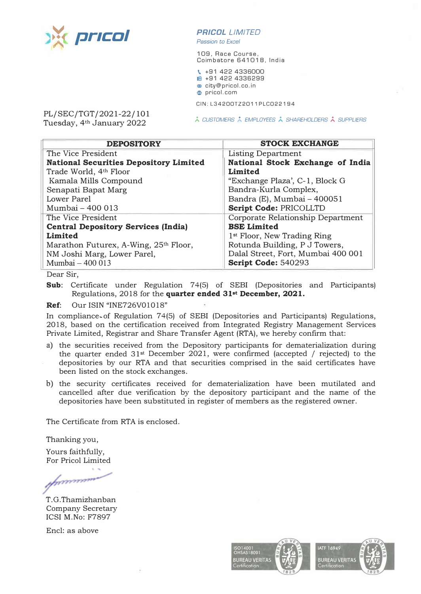

## *PR/COL LIMITED*

*Passion to Excel* 

109, Race Course, Coimbatore 641018, India

\. +91 422 4336000 1ml +91 422 4336299 m city@pricol.co.in **e** pricol.com

CIN:L34200TZ2011PLC022194

PL/SEC/TGT/2021-22/101 Tuesday, 4**th** January 2022

*� CUSTOMERS A EMPLOYEES� SHAREHOLDERS� SUPPLIERS* 

| <b>DEPOSITORY</b>                             | <b>STOCK EXCHANGE</b>                   |
|-----------------------------------------------|-----------------------------------------|
| The Vice President                            | Listing Department                      |
| <b>National Securities Depository Limited</b> | National Stock Exchange of India        |
| Trade World, 4th Floor                        | Limited                                 |
| Kamala Mills Compound                         | "Exchange Plaza', C-1, Block G          |
| Senapati Bapat Marg                           | Bandra-Kurla Complex,                   |
| <b>Lower Parel</b>                            | Bandra (E), Mumbai - 400051             |
| Mumbai - 400 013                              | Script Code: PRICOLLTD                  |
| The Vice President                            | Corporate Relationship Department       |
| <b>Central Depository Services (India)</b>    | <b>BSE Limited</b>                      |
| Limited                                       | 1 <sup>st</sup> Floor, New Trading Ring |
| Marathon Futurex, A-Wing, 25th Floor,         | Rotunda Building, P J Towers,           |
| NM Joshi Marg, Lower Parel,                   | Dalal Street, Fort, Mumbai 400 001      |
| Mumbai - 400 013                              | Script Code: 540293                     |

Dear Sir,

**Sub:** Certificate under Regulation 74(5) of SEBI (Depositories and Participants) Regulations, 2018 for the **quarter ended 31**st **December, 2021.** 

**Ref:** Our ISIN "INE726V01018"

In compliance of Regulation 74(5) of SEBI (Depositories and Participants) Regulations, 2018, based on the certification received from Integrated Registry Management Services Private Limited, Registrar and Share Transfer Agent (RTA), we hereby confirm that:

- a) the securities received from the Depository participants for dematerialization during the quarter ended 31st December 2021, were confirmed (accepted / rejected) to the depositories by our RTA and that securities comprised in the said certificates have been listed on the stock exchanges.
- b) the security certificates received for dematerialization have been mutilated and cancelled after due verification by the depository participant and the name of the depositories have been substituted in register of members as the registered owner.

The Certificate from RTA is enclosed.

Thanking you,

Yours faithfully, For Pricol Limited

 $\mathbf{v}$ munning

T.G.Thamizhanban Company Secretary ICSI M.No: F7897

Encl: as above